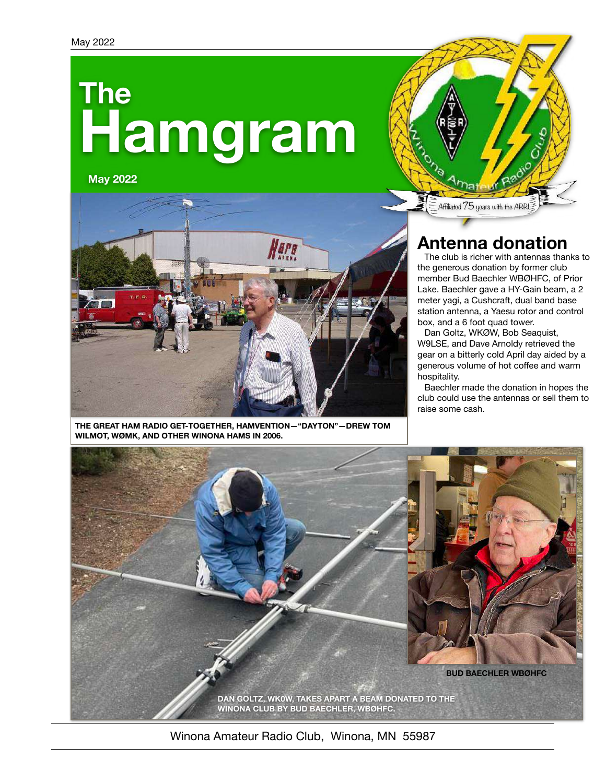# **Hamgram The**

**May 2022**





**THE GREAT HAM RADIO GET-TOGETHER, HAMVENTION—"DAYTON"—DREW TOM WILMOT, WØMK, AND OTHER WINONA HAMS IN 2006.**

## **Antenna donation**

The club is richer with antennas thanks to the generous donation by former club member Bud Baechler WBØHFC, of Prior Lake. Baechler gave a HY-Gain beam, a 2 meter yagi, a Cushcraft, dual band base station antenna, a Yaesu rotor and control box, and a 6 foot quad tower.

Dan Goltz, WKØW, Bob Seaquist, W9LSE, and Dave Arnoldy retrieved the gear on a bitterly cold April day aided by a generous volume of hot coffee and warm hospitality.

Baechler made the donation in hopes the club could use the antennas or sell them to raise some cash.



Winona Amateur Radio Club, Winona, MN 55987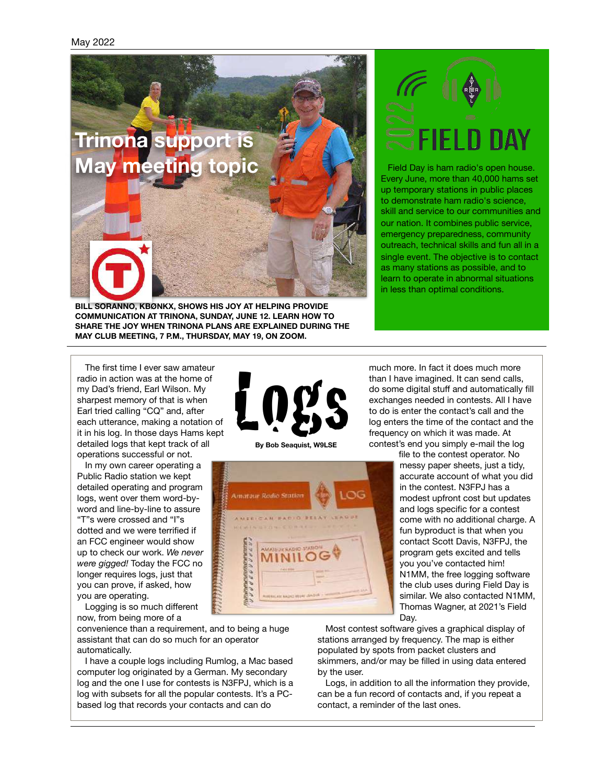

**BILL SORANNO, KBØNKX, SHOWS HIS JOY AT HELPING PROVIDE COMMUNICATION AT TRINONA, SUNDAY, JUNE 12. LEARN HOW TO SHARE THE JOY WHEN TRINONA PLANS ARE EXPLAINED DURING THE MAY CLUB MEETING, 7 P.M., THURSDAY, MAY 19, ON ZOOM.**



Field Day is ham radio's open house. Every June, more than 40,000 hams set up temporary stations in public places to demonstrate ham radio's science, skill and service to our communities and our nation. It combines public service, emergency preparedness, community outreach, technical skills and fun all in a single event. The objective is to contact as many stations as possible, and to learn to operate in abnormal situations in less than optimal conditions.

The first time I ever saw amateur radio in action was at the home of my Dad's friend, Earl Wilson. My sharpest memory of that is when Earl tried calling "CQ" and, after each utterance, making a notation of it in his log. In those days Hams kept detailed logs that kept track of all operations successful or not.

In my own career operating a Public Radio station we kept detailed operating and program logs, went over them word-byword and line-by-line to assure "T"s were crossed and "I"s dotted and we were terrified if an FCC engineer would show up to check our work. *We never were gigged!* Today the FCC no longer requires logs, just that you can prove, if asked, how you are operating.

Logging is so much different now, from being more of a

convenience than a requirement, and to being a huge assistant that can do so much for an operator automatically.

I have a couple logs including Rumlog, a Mac based computer log originated by a German. My secondary log and the one I use for contests is N3FPJ, which is a log with subsets for all the popular contests. It's a PCbased log that records your contacts and can do



**By Bob Seaquist, W9LSE**



much more. In fact it does much more than I have imagined. It can send calls, do some digital stuff and automatically fill exchanges needed in contests. All I have to do is enter the contact's call and the log enters the time of the contact and the frequency on which it was made. At contest's end you simply e-mail the log file to the contest operator. No

messy paper sheets, just a tidy, accurate account of what you did in the contest. N3FPJ has a modest upfront cost but updates and logs specific for a contest come with no additional charge. A fun byproduct is that when you contact Scott Davis, N3FPJ, the program gets excited and tells you you've contacted him! N1MM, the free logging software the club uses during Field Day is similar. We also contacted N1MM, Thomas Wagner, at 2021's Field Day.

Most contest software gives a graphical display of stations arranged by frequency. The map is either populated by spots from packet clusters and skimmers, and/or may be filled in using data entered by the user.

Logs, in addition to all the information they provide, can be a fun record of contacts and, if you repeat a contact, a reminder of the last ones.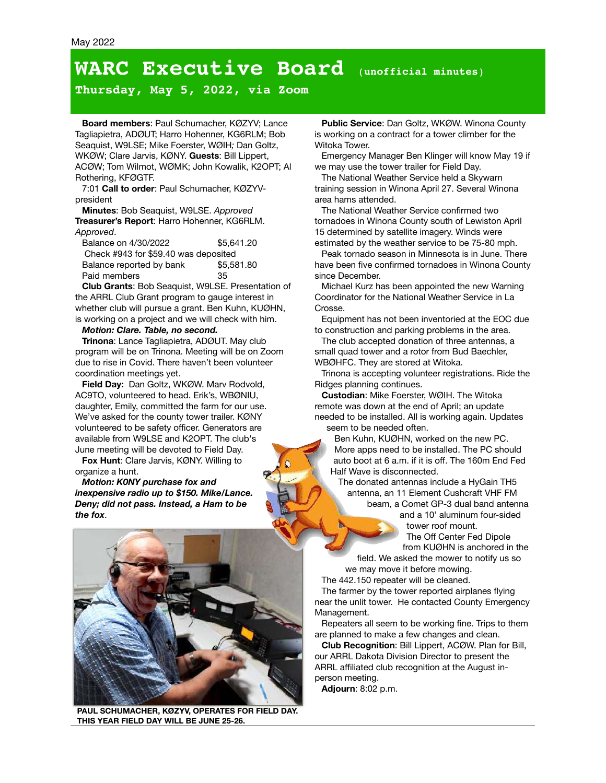# **WARC Executive Board** (**unofficial minutes**)

**Thursday, May 5, 2022, via Zoom**

**Board members**: Paul Schumacher, KØZYV; Lance Tagliapietra, ADØUT; Harro Hohenner, KG6RLM; Bob Seaquist, W9LSE; Mike Foerster, WØIH*;* Dan Goltz, WKØW; Clare Jarvis, KØNY. **Guests**: Bill Lippert, ACØW; Tom Wilmot, WØMK; John Kowalik, K2OPT; Al Rothering, KFØGTF.

7:01 **Call to order**: Paul Schumacher, KØZYVpresident

**Minutes**: Bob Seaquist, W9LSE. *Approved* **Treasurer's Report**: Harro Hohenner, KG6RLM. *Approved*.

| Balance on 4/30/2022                 | \$5,641.20 | est |
|--------------------------------------|------------|-----|
| Check #943 for \$59.40 was deposited |            |     |
| Balance reported by bank             | \$5,581.80 | ha۱ |
| Paid members                         | 35.        | sin |

**Club Grants**: Bob Seaquist, W9LSE. Presentation of the ARRL Club Grant program to gauge interest in whether club will pursue a grant. Ben Kuhn, KUØHN, is working on a project and we will check with him.

#### *Motion: Clare. Table, no second.*

**Trinona**: Lance Tagliapietra, ADØUT. May club program will be on Trinona. Meeting will be on Zoom due to rise in Covid. There haven't been volunteer coordination meetings yet.

**Field Day:** Dan Goltz, WKØW. Marv Rodvold, AC9TO, volunteered to head. Erik's, WBØNIU, daughter, Emily, committed the farm for our use. We've asked for the county tower trailer. KØNY volunteered to be safety officer. Generators are available from W9LSE and K2OPT. The club's June meeting will be devoted to Field Day.

**Fox Hunt**: Clare Jarvis, KØNY. Willing to organize a hunt.

*Motion: K0NY purchase fox and inexpensive radio up to \$150. Mike/Lance. Deny; did not pass. Instead, a Ham to be the fox*.



**PAUL SCHUMACHER, KØZYV, OPERATES FOR FIELD DAY. THIS YEAR FIELD DAY WILL BE JUNE 25-26.**

**Public Service**: Dan Goltz, WKØW. Winona County is working on a contract for a tower climber for the Witoka Tower.

Emergency Manager Ben Klinger will know May 19 if we may use the tower trailer for Field Day.

The National Weather Service held a Skywarn training session in Winona April 27. Several Winona area hams attended.

The National Weather Service confirmed two tornadoes in Winona County south of Lewiston April 15 determined by satellite imagery. Winds were estimated by the weather service to be 75-80 mph.

Peak tornado season in Minnesota is in June. There have been five confirmed tornadoes in Winona County since December.

Michael Kurz has been appointed the new Warning Coordinator for the National Weather Service in La Crosse.

Equipment has not been inventoried at the EOC due to construction and parking problems in the area.

The club accepted donation of three antennas, a small quad tower and a rotor from Bud Baechler, WBØHFC. They are stored at Witoka.

Trinona is accepting volunteer registrations. Ride the Ridges planning continues.

**Custodian**: Mike Foerster, WØIH. The Witoka remote was down at the end of April; an update needed to be installed. All is working again. Updates seem to be needed often.

Ben Kuhn, KUØHN, worked on the new PC. More apps need to be installed. The PC should auto boot at 6 a.m. if it is off. The 160m End Fed Half Wave is disconnected.

The donated antennas include a HyGain TH5 antenna, an 11 Element Cushcraft VHF FM beam, a Comet GP-3 dual band antenna

> and a 10' aluminum four-sided tower roof mount. The Off Center Fed Dipole

from KUØHN is anchored in the field. We asked the mower to notify us so we may move it before mowing.

The 442.150 repeater will be cleaned.

The farmer by the tower reported airplanes flying near the unlit tower. He contacted County Emergency Management.

Repeaters all seem to be working fine. Trips to them are planned to make a few changes and clean.

**Club Recognition**: Bill Lippert, ACØW. Plan for Bill, our ARRL Dakota Division Director to present the ARRL affiliated club recognition at the August inperson meeting.

**Adjourn**: 8:02 p.m.